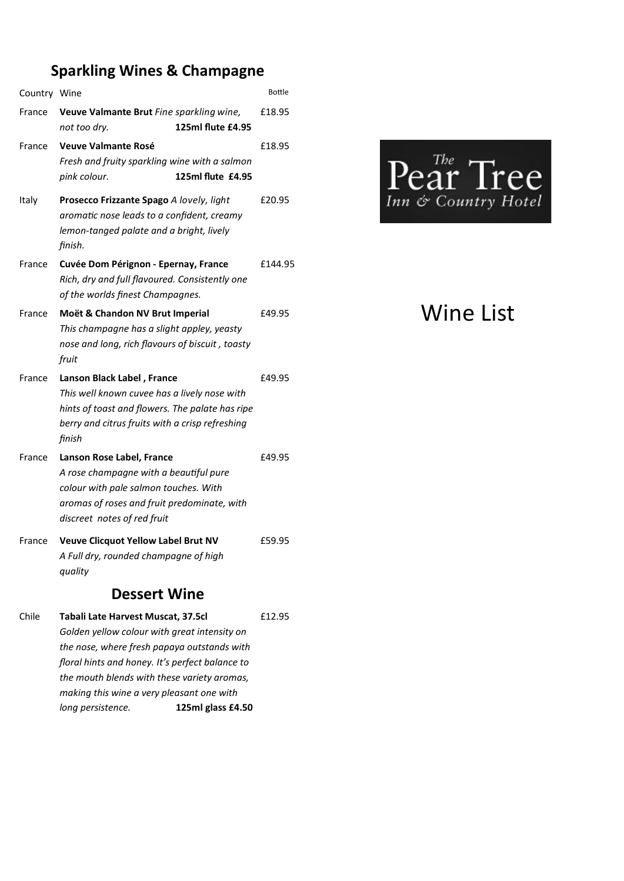## **Sparkling Wines & Champagne**

| Country Wine        |                                                                                               |                   | <b>Bottle</b> |  |  |  |
|---------------------|-----------------------------------------------------------------------------------------------|-------------------|---------------|--|--|--|
| France              | Veuve Valmante Brut Fine sparkling wine,                                                      |                   | £18.95        |  |  |  |
|                     | not too dry.                                                                                  | 125ml flute £4.95 |               |  |  |  |
| France              | <b>Veuve Valmante Rosé</b>                                                                    |                   | £18.95        |  |  |  |
|                     | Fresh and fruity sparkling wine with a salmon                                                 |                   |               |  |  |  |
|                     | pink colour.                                                                                  | 125ml flute £4.95 |               |  |  |  |
| Italy               | Prosecco Frizzante Spago A lovely, light                                                      |                   | £20.95        |  |  |  |
|                     | aromatic nose leads to a confident, creamy                                                    |                   |               |  |  |  |
|                     | lemon-tanged palate and a bright, lively<br>finish.                                           |                   |               |  |  |  |
| France              | Cuvée Dom Pérignon - Epernay, France                                                          |                   |               |  |  |  |
|                     | Rich, dry and full flavoured. Consistently one                                                |                   |               |  |  |  |
|                     | of the worlds finest Champagnes.                                                              |                   |               |  |  |  |
| France              | Moët & Chandon NV Brut Imperial                                                               |                   | £49.95        |  |  |  |
|                     | This champagne has a slight appley, yeasty<br>nose and long, rich flavours of biscuit, toasty |                   |               |  |  |  |
|                     | fruit                                                                                         |                   |               |  |  |  |
| France              | Lanson Black Label, France                                                                    |                   | £49.95        |  |  |  |
|                     | This well known cuvee has a lively nose with                                                  |                   |               |  |  |  |
|                     | hints of toast and flowers. The palate has ripe                                               |                   |               |  |  |  |
|                     | berry and citrus fruits with a crisp refreshing                                               |                   |               |  |  |  |
|                     | finish                                                                                        |                   |               |  |  |  |
| France              | Lanson Rose Label, France                                                                     |                   | £49.95        |  |  |  |
|                     | A rose champagne with a beautiful pure                                                        |                   |               |  |  |  |
|                     | colour with pale salmon touches. With<br>aromas of roses and fruit predominate, with          |                   |               |  |  |  |
|                     | discreet notes of red fruit                                                                   |                   |               |  |  |  |
| France              | <b>Veuve Clicquot Yellow Label Brut NV</b>                                                    |                   | £59.95        |  |  |  |
|                     | A Full dry, rounded champagne of high                                                         |                   |               |  |  |  |
|                     | quality                                                                                       |                   |               |  |  |  |
| <b>Dessert Wine</b> |                                                                                               |                   |               |  |  |  |
| Chile               | Tabali Late Harvest Muscat, 37.5cl                                                            |                   | £12.95        |  |  |  |
|                     | Golden yellow colour with great intensity on                                                  |                   |               |  |  |  |

*the nose, where fresh papaya outstands with floral hints and honey. It's perfect balance to the mouth blends with these variety aromas, making this wine a very pleasant one with long persistence.* **125ml glass £4.50**



## Wine List